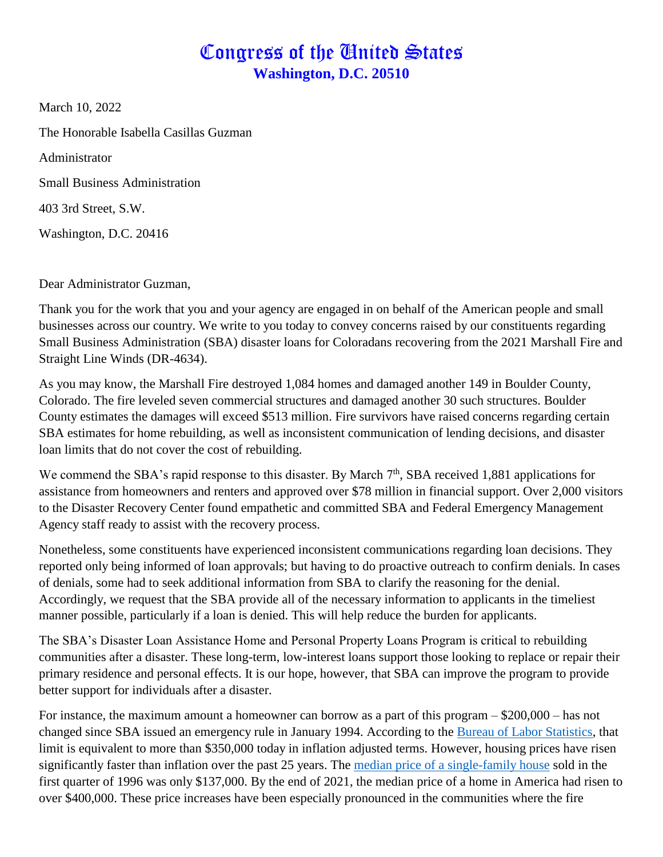## Congress of the United States **Washington, D.C. 20510**

March 10, 2022

The Honorable Isabella Casillas Guzman

Administrator

Small Business Administration

403 3rd Street, S.W.

Washington, D.C. 20416

Dear Administrator Guzman,

Thank you for the work that you and your agency are engaged in on behalf of the American people and small businesses across our country. We write to you today to convey concerns raised by our constituents regarding Small Business Administration (SBA) disaster loans for Coloradans recovering from the 2021 Marshall Fire and Straight Line Winds (DR-4634).

As you may know, the Marshall Fire destroyed 1,084 homes and damaged another 149 in Boulder County, Colorado. The fire leveled seven commercial structures and damaged another 30 such structures. Boulder County estimates the damages will exceed \$513 million. Fire survivors have raised concerns regarding certain SBA estimates for home rebuilding, as well as inconsistent communication of lending decisions, and disaster loan limits that do not cover the cost of rebuilding.

We commend the SBA's rapid response to this disaster. By March  $7<sup>th</sup>$ , SBA received 1,881 applications for assistance from homeowners and renters and approved over \$78 million in financial support. Over 2,000 visitors to the Disaster Recovery Center found empathetic and committed SBA and Federal Emergency Management Agency staff ready to assist with the recovery process.

Nonetheless, some constituents have experienced inconsistent communications regarding loan decisions. They reported only being informed of loan approvals; but having to do proactive outreach to confirm denials. In cases of denials, some had to seek additional information from SBA to clarify the reasoning for the denial. Accordingly, we request that the SBA provide all of the necessary information to applicants in the timeliest manner possible, particularly if a loan is denied. This will help reduce the burden for applicants.

The SBA's Disaster Loan Assistance Home and Personal Property Loans Program is critical to rebuilding communities after a disaster. These long-term, low-interest loans support those looking to replace or repair their primary residence and personal effects. It is our hope, however, that SBA can improve the program to provide better support for individuals after a disaster.

For instance, the maximum amount a homeowner can borrow as a part of this program – \$200,000 – has not changed since SBA issued an emergency rule in January 1994. According to the [Bureau of Labor Statistics,](https://www.bls.gov/data/inflation_calculator.htm) that limit is equivalent to more than \$350,000 today in inflation adjusted terms. However, housing prices have risen significantly faster than inflation over the past 25 years. The [median price of a single-family house](https://fred.stlouisfed.org/series/MSPUS) sold in the first quarter of 1996 was only \$137,000. By the end of 2021, the median price of a home in America had risen to over \$400,000. These price increases have been especially pronounced in the communities where the fire